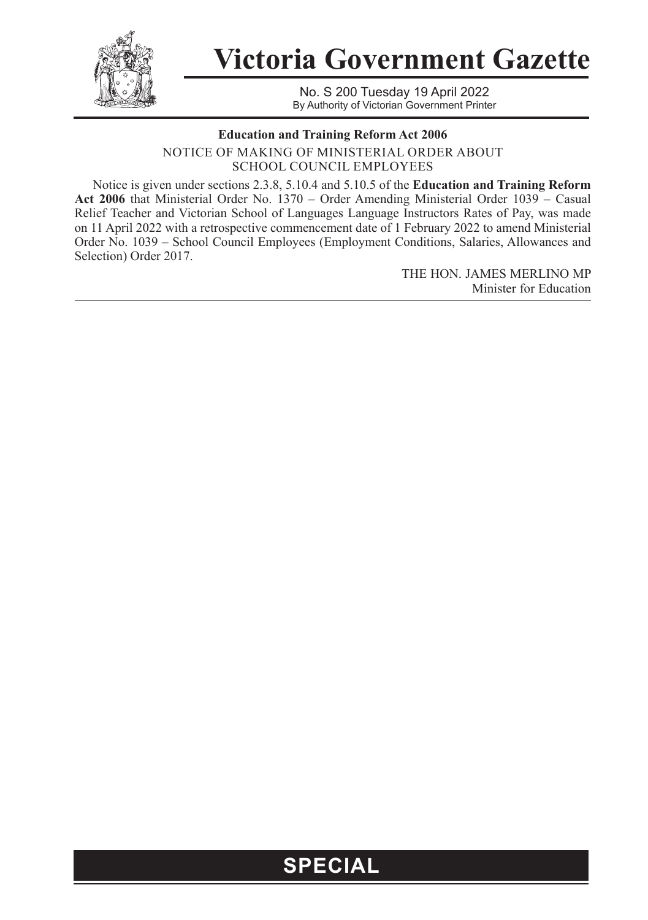

**Victoria Government Gazette**

No. S 200 Tuesday 19 April 2022 By Authority of Victorian Government Printer

## **Education and Training Reform Act 2006**

NOTICE OF MAKING OF MINISTERIAL ORDER ABOUT SCHOOL COUNCIL EMPLOYEES

Notice is given under sections 2.3.8, 5.10.4 and 5.10.5 of the **Education and Training Reform Act 2006** that Ministerial Order No. 1370 – Order Amending Ministerial Order 1039 – Casual Relief Teacher and Victorian School of Languages Language Instructors Rates of Pay, was made on 11 April 2022 with a retrospective commencement date of 1 February 2022 to amend Ministerial Order No. 1039 – School Council Employees (Employment Conditions, Salaries, Allowances and Selection) Order 2017.

> THE HON. JAMES MERLINO MP Minister for Education

## **SPECIAL**